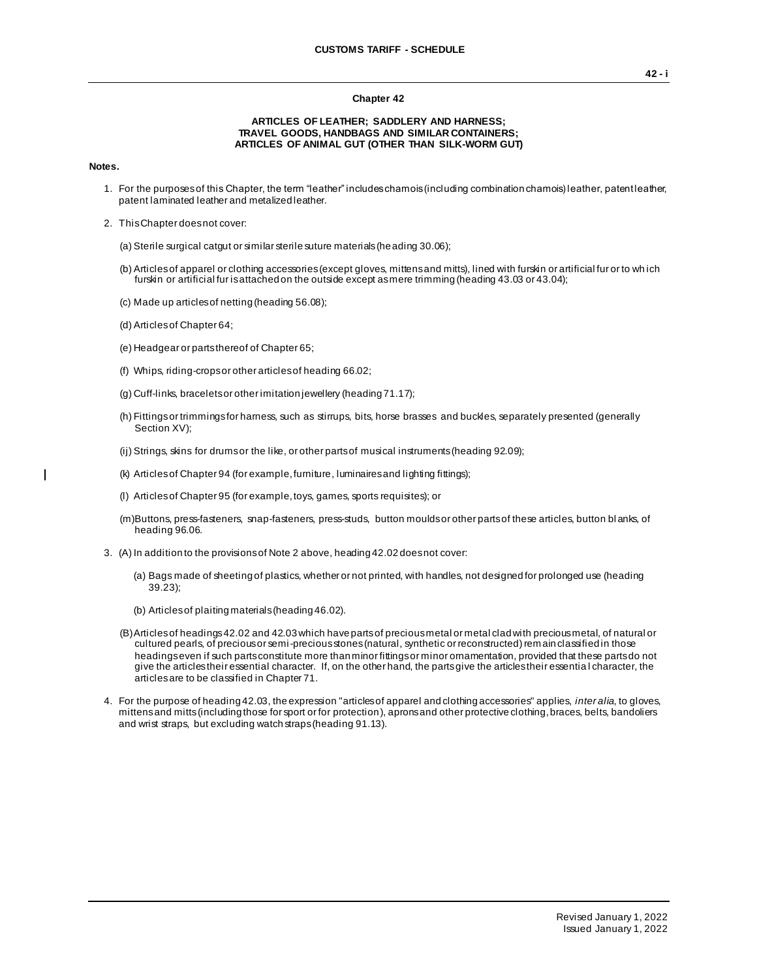## **Chapter 42**

## **ARTICLES OF LEATHER; SADDLERY AND HARNESS; TRAVEL GOODS, HANDBAGS AND SIMILAR CONTAINERS; ARTICLES OF ANIMAL GUT (OTHER THAN SILK-WORM GUT)**

## **Notes.**

 $\mathbf{I}$ 

- 1. For the purposes of this Chapter, the term "leather" includes chamois (including combination chamois) leather, patent leather, patent laminated leather and metalized leather.
- 2. This Chapter does not cover:
	- (a) Sterile surgical catgut or similar sterile suture materials (heading 30.06);
	- (b) Articles of apparel or clothing accessories (except gloves, mittens and mitts), lined with furskin or artificial fur or to wh ich furskin or artificial fur is attached on the outside except as mere trimming (heading 43.03 or 43.04);
	- (c) Made up articles of netting (heading 56.08);
	- (d) Articles of Chapter 64;
	- (e) Headgear or parts thereof of Chapter 65;
	- (f) Whips, riding-crops or other articles of heading 66.02;
	- (g) Cuff-links, bracelets or other imitation jewellery (heading 71.17);
	- (h) Fittings or trimmings for harness, such as stirrups, bits, horse brasses and buckles, separately presented (generally Section XV);
	- (ij) Strings, skins for drums or the like, or other parts of musical instruments (heading 92.09);
	- (k) Articles of Chapter 94 (for example, furniture, luminaires and lighting fittings);
	- (l) Articles of Chapter 95 (for example, toys, games, sports requisites); or
	- (m)Buttons, press-fasteners, snap-fasteners, press-studs, button moulds or other parts of these articles, button bl anks, of heading 96.06.
- 3. (A) In addition to the provisions of Note 2 above, heading 42.02 does not cover:
	- (a) Bags made of sheeting of plastics, whether or not printed, with handles, not designed for prolonged use (heading 39.23);
	- (b) Articles of plaiting materials (heading 46.02).
	- (B)Articles of headings 42.02 and 42.03 which have parts of precious metal or metal clad with precious metal, of natural or cultured pearls, of precious or semi-precious stones (natural, synthetic or reconstructed) remain classified in those headings even if such parts constitute more than minor fittings or minor ornamentation, provided that these parts do not give the articles their essential character. If, on the other hand, the parts give the articles their essentia l character, the articles are to be classified in Chapter 71.
- 4. For the purpose of heading 42.03, the expression "articles of apparel and clothing accessories" applies, *inter alia*, to gloves, mittens and mitts (including those for sport or for protection), aprons and other protective clothing, braces, belts, bandoliers and wrist straps, but excluding watch straps (heading 91.13).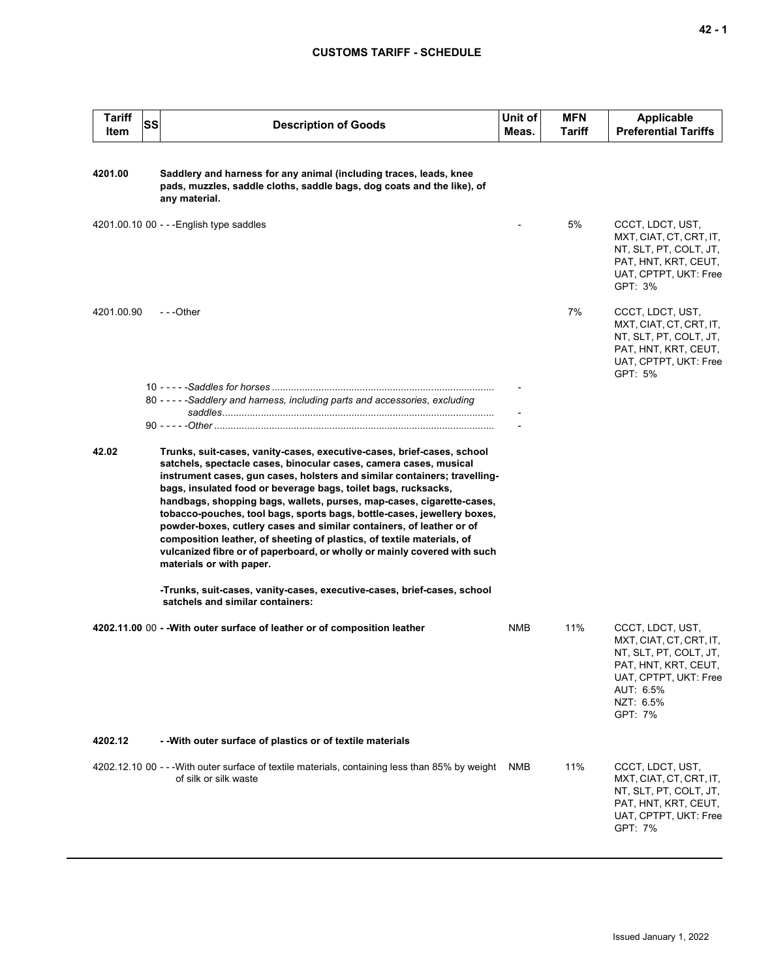## **CUSTOMS TARIFF - SCHEDULE**

| <b>Tariff</b><br>Item | SS | <b>Description of Goods</b>                                                                                                                                                                                                                                                                                                                                                                                                                                                                                                                                                                                                                                                                              | Unit of<br>Meas. | <b>MFN</b><br><b>Tariff</b> | <b>Applicable</b><br><b>Preferential Tariffs</b>                                                                                                            |
|-----------------------|----|----------------------------------------------------------------------------------------------------------------------------------------------------------------------------------------------------------------------------------------------------------------------------------------------------------------------------------------------------------------------------------------------------------------------------------------------------------------------------------------------------------------------------------------------------------------------------------------------------------------------------------------------------------------------------------------------------------|------------------|-----------------------------|-------------------------------------------------------------------------------------------------------------------------------------------------------------|
| 4201.00               |    | Saddlery and harness for any animal (including traces, leads, knee<br>pads, muzzles, saddle cloths, saddle bags, dog coats and the like), of<br>any material.                                                                                                                                                                                                                                                                                                                                                                                                                                                                                                                                            |                  |                             |                                                                                                                                                             |
|                       |    | 4201.00.10 00 - - - English type saddles                                                                                                                                                                                                                                                                                                                                                                                                                                                                                                                                                                                                                                                                 |                  | 5%                          | CCCT, LDCT, UST,<br>MXT, CIAT, CT, CRT, IT,<br>NT, SLT, PT, COLT, JT,<br>PAT, HNT, KRT, CEUT,<br>UAT, CPTPT, UKT: Free<br>GPT: 3%                           |
| 4201.00.90            |    | ---Other                                                                                                                                                                                                                                                                                                                                                                                                                                                                                                                                                                                                                                                                                                 |                  | 7%                          | CCCT, LDCT, UST,<br>MXT, CIAT, CT, CRT, IT,<br>NT, SLT, PT, COLT, JT,<br>PAT, HNT, KRT, CEUT,<br>UAT, CPTPT, UKT: Free<br>GPT: 5%                           |
|                       |    | 80 - - - - - Saddlery and harness, including parts and accessories, excluding                                                                                                                                                                                                                                                                                                                                                                                                                                                                                                                                                                                                                            |                  |                             |                                                                                                                                                             |
|                       |    |                                                                                                                                                                                                                                                                                                                                                                                                                                                                                                                                                                                                                                                                                                          |                  |                             |                                                                                                                                                             |
|                       |    |                                                                                                                                                                                                                                                                                                                                                                                                                                                                                                                                                                                                                                                                                                          |                  |                             |                                                                                                                                                             |
| 42.02                 |    | Trunks, suit-cases, vanity-cases, executive-cases, brief-cases, school<br>satchels, spectacle cases, binocular cases, camera cases, musical<br>instrument cases, gun cases, holsters and similar containers; travelling-<br>bags, insulated food or beverage bags, toilet bags, rucksacks,<br>handbags, shopping bags, wallets, purses, map-cases, cigarette-cases,<br>tobacco-pouches, tool bags, sports bags, bottle-cases, jewellery boxes,<br>powder-boxes, cutlery cases and similar containers, of leather or of<br>composition leather, of sheeting of plastics, of textile materials, of<br>vulcanized fibre or of paperboard, or wholly or mainly covered with such<br>materials or with paper. |                  |                             |                                                                                                                                                             |
|                       |    | -Trunks, suit-cases, vanity-cases, executive-cases, brief-cases, school<br>satchels and similar containers:                                                                                                                                                                                                                                                                                                                                                                                                                                                                                                                                                                                              |                  |                             |                                                                                                                                                             |
|                       |    | 4202.11.00 00 - - With outer surface of leather or of composition leather                                                                                                                                                                                                                                                                                                                                                                                                                                                                                                                                                                                                                                | NMB              | 11%                         | CCCT, LDCT, UST,<br>MXT, CIAT, CT, CRT, IT,<br>NT, SLT, PT, COLT, JT,<br>PAT, HNT, KRT, CEUT,<br>UAT, CPTPT, UKT: Free<br>AUT: 6.5%<br>NZT: 6.5%<br>GPT: 7% |
| 4202.12               |    | - - With outer surface of plastics or of textile materials                                                                                                                                                                                                                                                                                                                                                                                                                                                                                                                                                                                                                                               |                  |                             |                                                                                                                                                             |
|                       |    | 4202.12.10 00 - - - With outer surface of textile materials, containing less than 85% by weight<br>of silk or silk waste                                                                                                                                                                                                                                                                                                                                                                                                                                                                                                                                                                                 | NMB              | 11%                         | CCCT, LDCT, UST,<br>MXT, CIAT, CT, CRT, IT,<br>NT, SLT, PT, COLT, JT,<br>PAT, HNT, KRT, CEUT,<br>UAT, CPTPT, UKT: Free<br>GPT: 7%                           |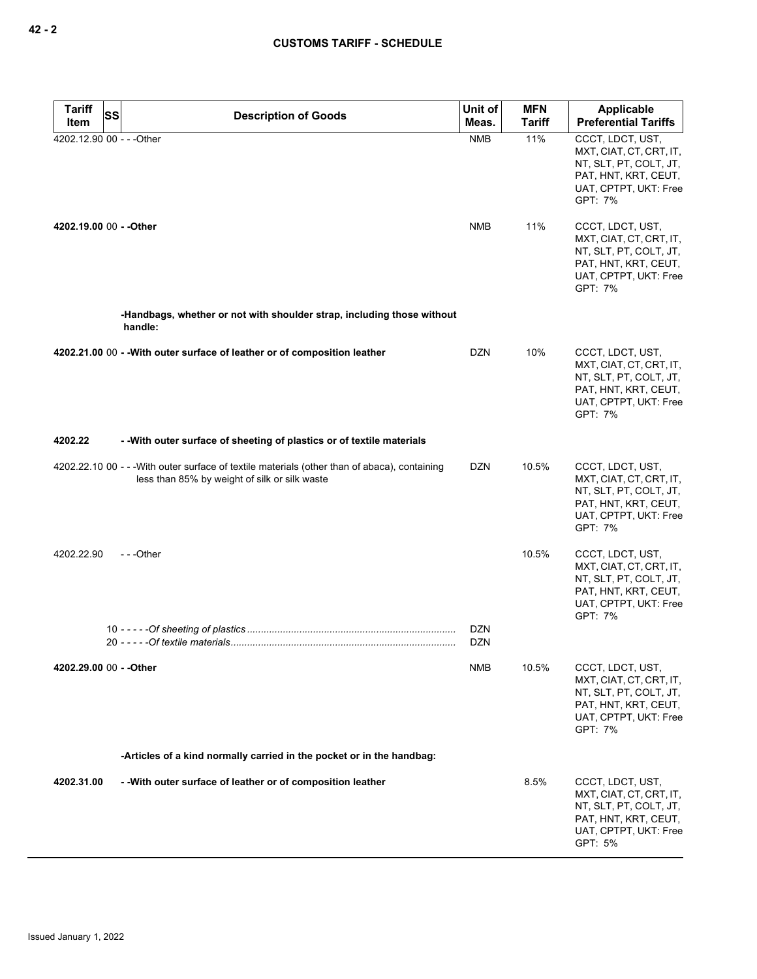| <b>Tariff</b><br><b>SS</b> | <b>Description of Goods</b>                                                                                                                    | Unit of                  | <b>MFN</b>    | <b>Applicable</b>                                                                                                                 |
|----------------------------|------------------------------------------------------------------------------------------------------------------------------------------------|--------------------------|---------------|-----------------------------------------------------------------------------------------------------------------------------------|
| Item                       |                                                                                                                                                | Meas.                    | <b>Tariff</b> | <b>Preferential Tariffs</b>                                                                                                       |
| 4202.12.90 00 - - - Other  |                                                                                                                                                | <b>NMB</b>               | 11%           | CCCT, LDCT, UST,<br>MXT, CIAT, CT, CRT, IT,<br>NT, SLT, PT, COLT, JT,<br>PAT, HNT, KRT, CEUT,<br>UAT, CPTPT, UKT: Free<br>GPT: 7% |
| 4202.19.00 00 - - Other    |                                                                                                                                                | <b>NMB</b>               | 11%           | CCCT, LDCT, UST,<br>MXT, CIAT, CT, CRT, IT,<br>NT, SLT, PT, COLT, JT,<br>PAT, HNT, KRT, CEUT,<br>UAT, CPTPT, UKT: Free<br>GPT: 7% |
|                            | -Handbags, whether or not with shoulder strap, including those without<br>handle:                                                              |                          |               |                                                                                                                                   |
|                            | 4202.21.00 00 - - With outer surface of leather or of composition leather                                                                      | DZN                      | 10%           | CCCT, LDCT, UST,<br>MXT, CIAT, CT, CRT, IT,<br>NT, SLT, PT, COLT, JT,<br>PAT, HNT, KRT, CEUT,<br>UAT, CPTPT, UKT: Free<br>GPT: 7% |
| 4202.22                    | - With outer surface of sheeting of plastics or of textile materials                                                                           |                          |               |                                                                                                                                   |
|                            | 4202.22.10 00 - - - With outer surface of textile materials (other than of abaca), containing<br>less than 85% by weight of silk or silk waste | DZN                      | 10.5%         | CCCT, LDCT, UST,<br>MXT, CIAT, CT, CRT, IT,<br>NT, SLT, PT, COLT, JT,<br>PAT, HNT, KRT, CEUT,<br>UAT, CPTPT, UKT: Free<br>GPT: 7% |
| 4202.22.90                 | ---Other                                                                                                                                       |                          | 10.5%         | CCCT, LDCT, UST,<br>MXT, CIAT, CT, CRT, IT,<br>NT, SLT, PT, COLT, JT,<br>PAT, HNT, KRT, CEUT,<br>UAT, CPTPT, UKT: Free<br>GPT: 7% |
|                            |                                                                                                                                                | <b>DZN</b><br><b>DZN</b> |               |                                                                                                                                   |
| 4202.29.00 00 - - Other    |                                                                                                                                                | NMB                      | 10.5%         | CCCT, LDCT, UST,<br>MXT, CIAT, CT, CRT, IT,<br>NT, SLT, PT, COLT, JT,<br>PAT, HNT, KRT, CEUT,<br>UAT, CPTPT, UKT: Free<br>GPT: 7% |
|                            | -Articles of a kind normally carried in the pocket or in the handbag:                                                                          |                          |               |                                                                                                                                   |
| 4202.31.00                 | - - With outer surface of leather or of composition leather                                                                                    |                          | 8.5%          | CCCT, LDCT, UST,<br>MXT, CIAT, CT, CRT, IT,<br>NT, SLT, PT, COLT, JT,<br>PAT, HNT, KRT, CEUT,<br>UAT, CPTPT, UKT: Free<br>GPT: 5% |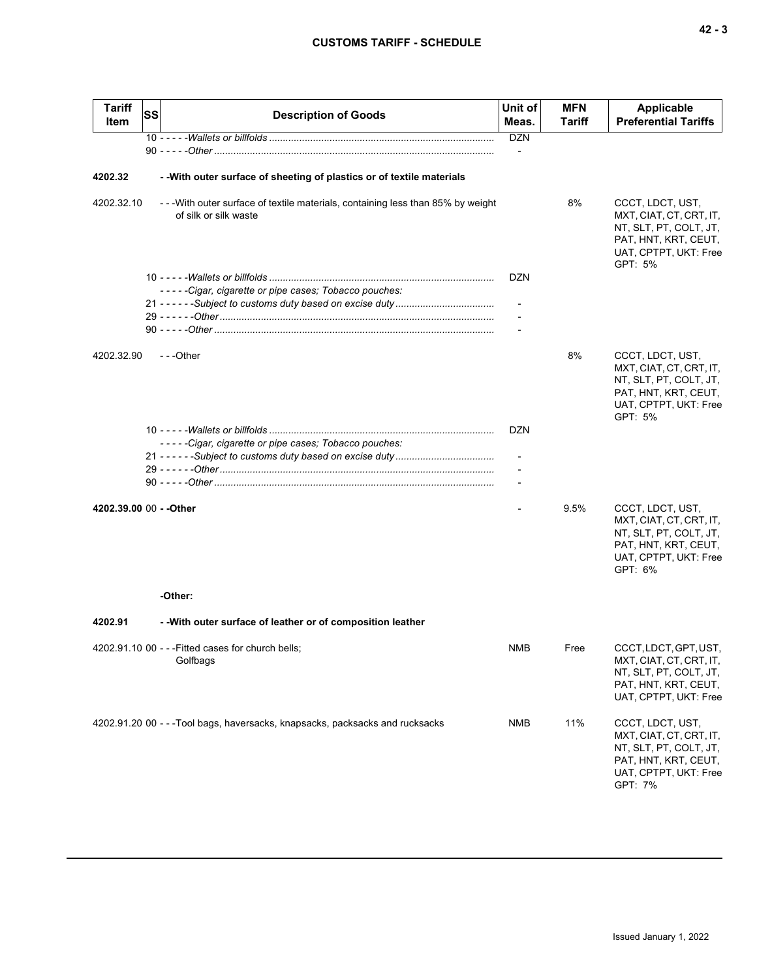| <b>Tariff</b><br>Item   | SS | <b>Description of Goods</b>                                                                            | Unit of<br>Meas. | <b>MFN</b><br>Tariff | <b>Applicable</b><br><b>Preferential Tariffs</b>                                                                                  |
|-------------------------|----|--------------------------------------------------------------------------------------------------------|------------------|----------------------|-----------------------------------------------------------------------------------------------------------------------------------|
|                         |    |                                                                                                        | <b>DZN</b>       |                      |                                                                                                                                   |
|                         |    |                                                                                                        |                  |                      |                                                                                                                                   |
| 4202.32                 |    | - - With outer surface of sheeting of plastics or of textile materials                                 |                  |                      |                                                                                                                                   |
| 4202.32.10              |    | --With outer surface of textile materials, containing less than 85% by weight<br>of silk or silk waste |                  | 8%                   | CCCT, LDCT, UST,<br>MXT, CIAT, CT, CRT, IT,<br>NT, SLT, PT, COLT, JT,<br>PAT, HNT, KRT, CEUT,<br>UAT, CPTPT, UKT: Free<br>GPT: 5% |
|                         |    |                                                                                                        | <b>DZN</b>       |                      |                                                                                                                                   |
|                         |    | -----Cigar, cigarette or pipe cases; Tobacco pouches:                                                  |                  |                      |                                                                                                                                   |
|                         |    |                                                                                                        |                  |                      |                                                                                                                                   |
|                         |    |                                                                                                        |                  |                      |                                                                                                                                   |
|                         |    |                                                                                                        |                  |                      |                                                                                                                                   |
| 4202.32.90              |    | ---Other                                                                                               |                  | 8%                   | CCCT, LDCT, UST,<br>MXT, CIAT, CT, CRT, IT,<br>NT, SLT, PT, COLT, JT,<br>PAT, HNT, KRT, CEUT,<br>UAT, CPTPT, UKT: Free<br>GPT: 5% |
|                         |    |                                                                                                        | DZN              |                      |                                                                                                                                   |
|                         |    | -----Cigar, cigarette or pipe cases; Tobacco pouches:                                                  |                  |                      |                                                                                                                                   |
|                         |    |                                                                                                        |                  |                      |                                                                                                                                   |
|                         |    |                                                                                                        |                  |                      |                                                                                                                                   |
|                         |    |                                                                                                        |                  |                      |                                                                                                                                   |
| 4202.39.00 00 - - Other |    |                                                                                                        |                  | 9.5%                 | CCCT, LDCT, UST,<br>MXT, CIAT, CT, CRT, IT,<br>NT, SLT, PT, COLT, JT,<br>PAT, HNT, KRT, CEUT,<br>UAT, CPTPT, UKT: Free<br>GPT: 6% |
|                         |    | -Other:                                                                                                |                  |                      |                                                                                                                                   |
| 4202.91                 |    | - - With outer surface of leather or of composition leather                                            |                  |                      |                                                                                                                                   |
|                         |    | 4202.91.10 00 - - - Fitted cases for church bells;<br>Golfbags                                         | <b>NMB</b>       | Free                 | CCCT, LDCT, GPT, UST,<br>MXT, CIAT, CT, CRT, IT,<br>NT, SLT, PT, COLT, JT,<br>PAT, HNT, KRT, CEUT,<br>UAT, CPTPT, UKT: Free       |
|                         |    | 4202.91.20 00 - - - Tool bags, haversacks, knapsacks, packsacks and rucksacks                          | <b>NMB</b>       | 11%                  | CCCT, LDCT, UST,<br>MXT, CIAT, CT, CRT, IT,<br>NT, SLT, PT, COLT, JT,<br>PAT, HNT, KRT, CEUT,<br>UAT, CPTPT, UKT: Free<br>GPT: 7% |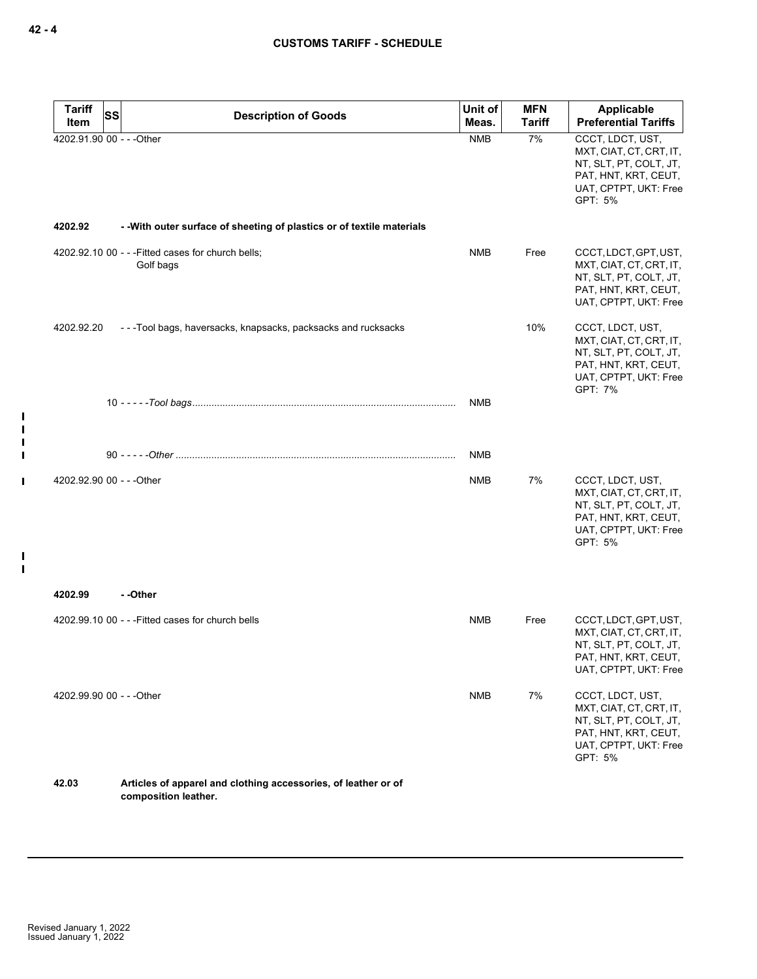| <b>Tariff</b><br>Item     | SS | <b>Description of Goods</b>                                            | Unit of<br>Meas. | <b>MFN</b><br><b>Tariff</b> | Applicable<br><b>Preferential Tariffs</b>                                                                                         |
|---------------------------|----|------------------------------------------------------------------------|------------------|-----------------------------|-----------------------------------------------------------------------------------------------------------------------------------|
| 4202.91.90 00 - - - Other |    |                                                                        | <b>NMB</b>       | 7%                          | CCCT, LDCT, UST,<br>MXT, CIAT, CT, CRT, IT,<br>NT, SLT, PT, COLT, JT,<br>PAT, HNT, KRT, CEUT,<br>UAT, CPTPT, UKT: Free<br>GPT: 5% |
| 4202.92                   |    | - - With outer surface of sheeting of plastics or of textile materials |                  |                             |                                                                                                                                   |
|                           |    | 4202.92.10 00 - - - Fitted cases for church bells;<br>Golf bags        | <b>NMB</b>       | Free                        | CCCT, LDCT, GPT, UST,<br>MXT, CIAT, CT, CRT, IT,<br>NT, SLT, PT, COLT, JT,<br>PAT, HNT, KRT, CEUT,<br>UAT, CPTPT, UKT: Free       |
| 4202.92.20                |    | - - - Tool bags, haversacks, knapsacks, packsacks and rucksacks        |                  | 10%                         | CCCT, LDCT, UST,<br>MXT, CIAT, CT, CRT, IT,<br>NT, SLT, PT, COLT, JT,<br>PAT, HNT, KRT, CEUT,<br>UAT, CPTPT, UKT: Free<br>GPT: 7% |
|                           |    |                                                                        | <b>NMB</b>       |                             |                                                                                                                                   |
|                           |    |                                                                        | <b>NMB</b>       |                             |                                                                                                                                   |
| 4202.92.90 00 - - - Other |    |                                                                        | <b>NMB</b>       | 7%                          | CCCT, LDCT, UST,<br>MXT, CIAT, CT, CRT, IT,<br>NT, SLT, PT, COLT, JT,<br>PAT, HNT, KRT, CEUT,<br>UAT, CPTPT, UKT: Free<br>GPT: 5% |
| 4202.99                   |    | - -Other                                                               |                  |                             |                                                                                                                                   |
|                           |    | 4202.99.10 00 - - - Fitted cases for church bells                      | <b>NMB</b>       | Free                        | CCCT, LDCT, GPT, UST,<br>MXT, CIAT, CT, CRT, IT,<br>NT, SLT, PT, COLT, JT,<br>PAT, HNT, KRT, CEUT,<br>UAT, CPTPT, UKT: Free       |
| 4202.99.90 00 - - - Other |    |                                                                        | <b>NMB</b>       | 7%                          | CCCT, LDCT, UST,<br>MXT, CIAT, CT, CRT, IT,<br>NT, SLT, PT, COLT, JT,<br>PAT, HNT, KRT, CEUT,<br>UAT, CPTPT, UKT: Free<br>GPT: 5% |
| 42.03                     |    | Articles of apparel and clothing accessories, of leather or of         |                  |                             |                                                                                                                                   |

 $\blacksquare$  $\blacksquare$ П  $\blacksquare$ 

 $\mathbf{I}$ 

 $\mathbf{I}$  $\mathbf{I}$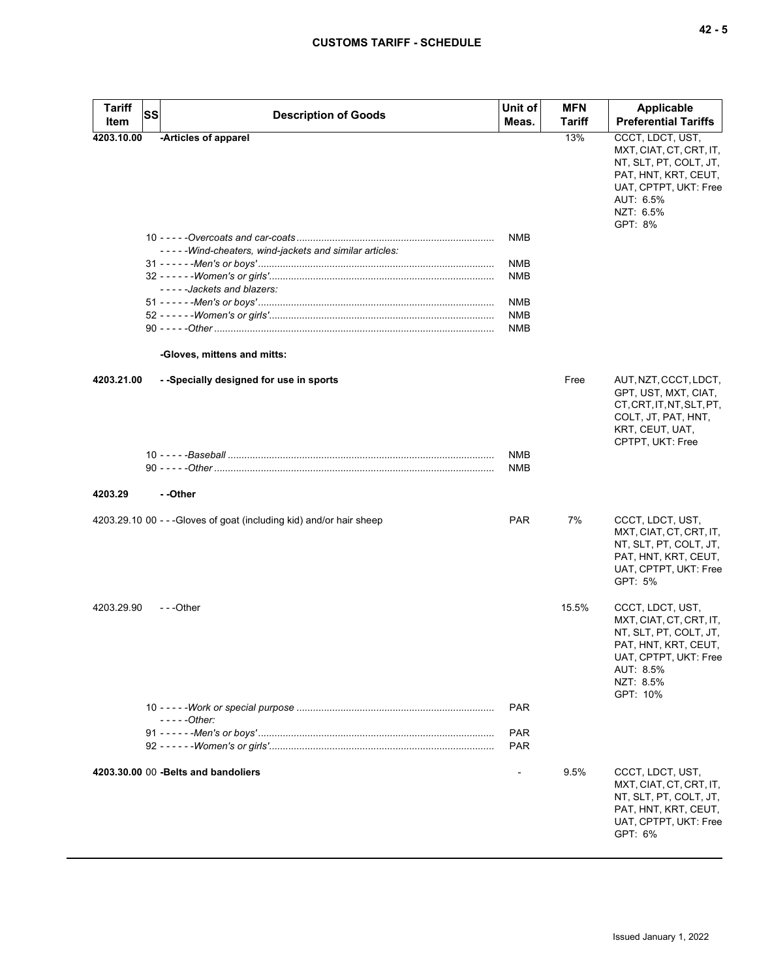| <b>Tariff</b> | <b>SS</b><br><b>Description of Goods</b>                             | Unit of        | <b>MFN</b> | Applicable                                                                                                                                                   |
|---------------|----------------------------------------------------------------------|----------------|------------|--------------------------------------------------------------------------------------------------------------------------------------------------------------|
| Item          |                                                                      | Meas.          | Tariff     | <b>Preferential Tariffs</b>                                                                                                                                  |
| 4203.10.00    | -Articles of apparel                                                 |                | 13%        | CCCT, LDCT, UST,<br>MXT, CIAT, CT, CRT, IT,<br>NT, SLT, PT, COLT, JT,<br>PAT, HNT, KRT, CEUT,<br>UAT, CPTPT, UKT: Free<br>AUT: 6.5%<br>NZT: 6.5%<br>GPT: 8%  |
|               |                                                                      | <b>NMB</b>     |            |                                                                                                                                                              |
|               | -----Wind-cheaters, wind-jackets and similar articles:               |                |            |                                                                                                                                                              |
|               |                                                                      | <b>NMB</b>     |            |                                                                                                                                                              |
|               | -----Jackets and blazers:                                            | <b>NMB</b>     |            |                                                                                                                                                              |
|               |                                                                      | <b>NMB</b>     |            |                                                                                                                                                              |
|               |                                                                      | <b>NMB</b>     |            |                                                                                                                                                              |
|               |                                                                      | <b>NMB</b>     |            |                                                                                                                                                              |
|               | -Gloves, mittens and mitts:                                          |                |            |                                                                                                                                                              |
| 4203.21.00    | --Specially designed for use in sports                               |                | Free       | AUT, NZT, CCCT, LDCT,<br>GPT, UST, MXT, CIAT,<br>CT, CRT, IT, NT, SLT, PT,<br>COLT, JT, PAT, HNT,<br>KRT, CEUT, UAT,<br>CPTPT, UKT: Free                     |
|               |                                                                      | <b>NMB</b>     |            |                                                                                                                                                              |
|               |                                                                      | <b>NMB</b>     |            |                                                                                                                                                              |
| 4203.29       | --Other                                                              |                |            |                                                                                                                                                              |
|               | 4203.29.10 00 - - - Gloves of goat (including kid) and/or hair sheep | <b>PAR</b>     | 7%         | CCCT, LDCT, UST,<br>MXT, CIAT, CT, CRT, IT,<br>NT, SLT, PT, COLT, JT,<br>PAT, HNT, KRT, CEUT,<br>UAT, CPTPT, UKT: Free<br>GPT: 5%                            |
| 4203.29.90    | $- -$ Other                                                          |                | 15.5%      | CCCT, LDCT, UST,<br>MXT, CIAT, CT, CRT, IT,<br>NT, SLT, PT, COLT, JT,<br>PAT, HNT, KRT, CEUT,<br>UAT, CPTPT, UKT: Free<br>AUT: 8.5%<br>NZT: 8.5%<br>GPT: 10% |
|               |                                                                      | <b>PAR</b>     |            |                                                                                                                                                              |
|               | $---Other:$                                                          |                |            |                                                                                                                                                              |
|               |                                                                      | <b>PAR</b>     |            |                                                                                                                                                              |
|               |                                                                      | <b>PAR</b>     |            |                                                                                                                                                              |
|               | 4203.30.00 00 - Belts and bandoliers                                 | $\overline{a}$ | 9.5%       | CCCT, LDCT, UST,<br>MXT, CIAT, CT, CRT, IT,<br>NT, SLT, PT, COLT, JT,<br>PAT, HNT, KRT, CEUT,<br>UAT, CPTPT, UKT: Free<br>GPT: 6%                            |